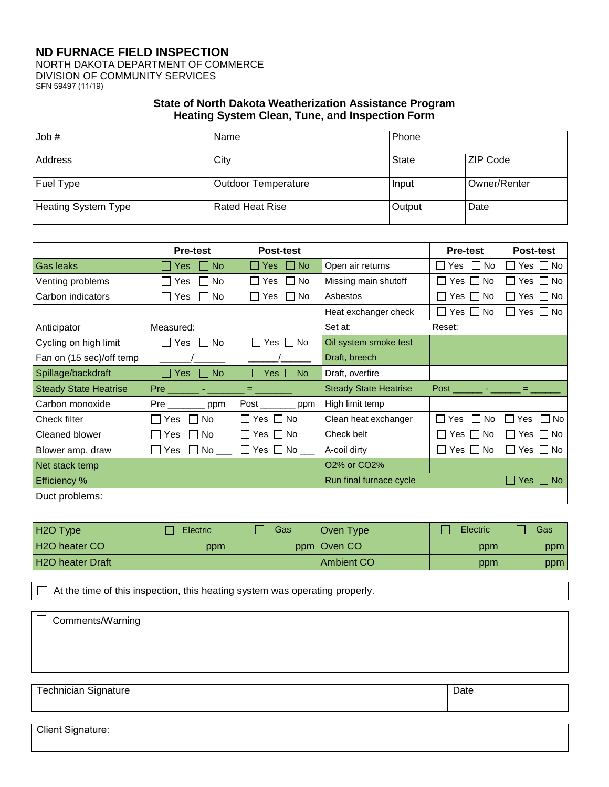## **ND FURNACE FIELD INSPECTION** NORTH DAKOTA DEPARTMENT OF COMMERCE DIVISION OF COMMUNITY SERVICES SFN 59497 (11/19)

## **State of North Dakota Weatherization Assistance Program Heating System Clean, Tune, and Inspection Form**

| Job #                      | Name                       | Phone  |              |
|----------------------------|----------------------------|--------|--------------|
| Address                    | City                       | State  | ZIP Code     |
| Fuel Type                  | <b>Outdoor Temperature</b> | Input  | Owner/Renter |
| <b>Heating System Type</b> | <b>Rated Heat Rise</b>     | Output | Date         |

|                              | <b>Pre-test</b>            | <b>Post-test</b>                   |                                       | <b>Pre-test</b>              | Post-test                       |
|------------------------------|----------------------------|------------------------------------|---------------------------------------|------------------------------|---------------------------------|
| Gas leaks                    | <b>No</b><br><b>Yes</b>    | <b>Tara</b><br><b>No</b><br>Yes    | Open air returns                      | <b>No</b><br>Yes<br>$\perp$  | Yes $\Box$ No                   |
| Venting problems             | No<br>Yes                  | No.<br>Yes                         | Missing main shutoff                  | No<br>$Yes$ $\Box$           | Yes $\Box$ No                   |
| Carbon indicators            | <b>Yes</b><br>No.          | l INo<br>Yes                       | Asbestos                              | No.<br>I Yes II              | Yes $\Box$ No                   |
|                              |                            |                                    | Heat exchanger check                  | ∏ Yes ∏ No                   | Yes $\Box$ No                   |
| Anticipator                  | Measured:                  |                                    | Set at:                               | Reset:                       |                                 |
| Cycling on high limit        | $\sqcap$ Yes<br><b>No</b>  | Yes $\Box$ No<br>$\blacksquare$    | Oil system smoke test                 |                              |                                 |
| Fan on (15 sec)/off temp     |                            |                                    | Draft, breech                         |                              |                                 |
| Spillage/backdraft           | l Yes<br><b>No</b><br>a ka | $\Box$ Yes $\Box$ No               | Draft, overfire                       |                              |                                 |
| <b>Steady State Heatrise</b> | Pre _______ - ______       | <u>e mand</u>                      | <b>Steady State Heatrise</b>          | Post ______ - ______ = _____ |                                 |
| Carbon monoxide              | ppm                        | $Post$ <sub>_________</sub><br>ppm | High limit temp                       |                              |                                 |
| Check filter                 | <b>No</b><br>Yes.          | No<br>Yes $\Box$                   | Clean heat exchanger                  | No<br>$\mathbf{L}$<br>Yes    | П<br>No<br>Yes<br>$\perp$       |
| Cleaned blower               | No<br>Yes                  | <b>No</b><br>Yes                   | Check belt                            | <b>No</b><br>Yes II          | Yes $\Box$ No                   |
| Blower amp. draw             | No<br>Yes<br>$\mathbf{I}$  | No l<br>Yes    <br>$\mathbf{L}$    | A-coil dirty                          | l No<br>I Yes II             | $\Box$ No<br>Yes l              |
| Net stack temp               |                            |                                    | O <sub>2</sub> % or CO <sub>2</sub> % |                              |                                 |
| <b>Efficiency %</b>          |                            |                                    | Run final furnace cycle               |                              | Yes $\Box$<br><b>No</b><br>l. I |
| Duct problems:               |                            |                                    |                                       |                              |                                 |

| H <sub>2</sub> O Type   | <b>Electric</b> | Gas | Oven Type     | Electric | Gas |
|-------------------------|-----------------|-----|---------------|----------|-----|
| H2O heater CO           | ppm             |     | ppm   Oven CO | ppm      | ppm |
| <b>H2O heater Draft</b> |                 |     | Ambient CO    | ppm      | ppm |

 $\Box$  At the time of this inspection, this heating system was operating properly.

Client Signature:

| $\Box$ Comments/Warning     |      |
|-----------------------------|------|
|                             |      |
|                             |      |
| <b>Technician Signature</b> | Date |